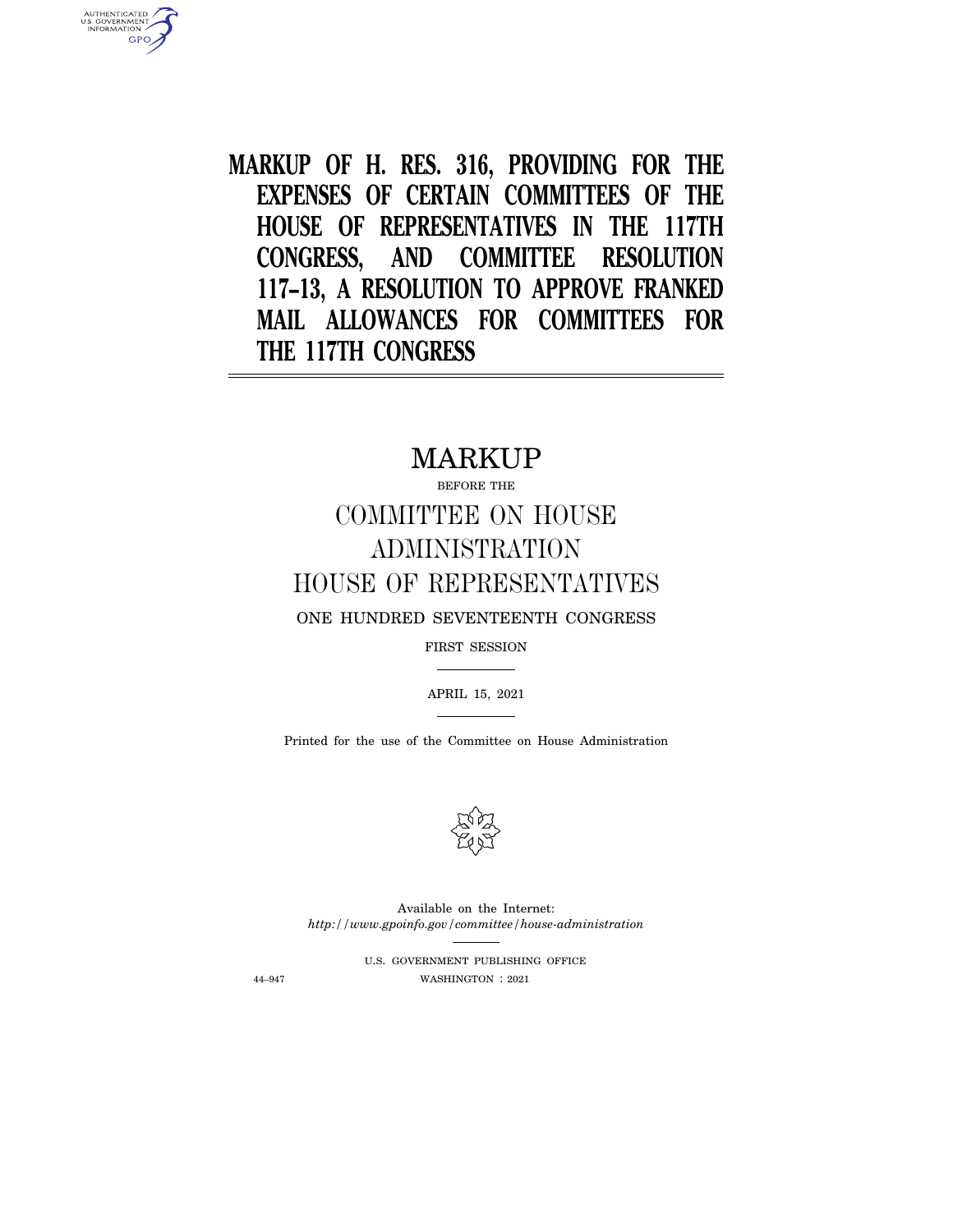**MARKUP OF H. RES. 316, PROVIDING FOR THE EXPENSES OF CERTAIN COMMITTEES OF THE HOUSE OF REPRESENTATIVES IN THE 117TH CONGRESS, AND COMMITTEE RESOLUTION 117–13, A RESOLUTION TO APPROVE FRANKED MAIL ALLOWANCES FOR COMMITTEES FOR THE 117TH CONGRESS** 

# MARKUP

# BEFORE THE COMMITTEE ON HOUSE ADMINISTRATION HOUSE OF REPRESENTATIVES

ONE HUNDRED SEVENTEENTH CONGRESS

FIRST SESSION

APRIL 15, 2021

Printed for the use of the Committee on House Administration



Available on the Internet: *http://www.gpoinfo.gov/committee/house-administration* 

U.S. GOVERNMENT PUBLISHING OFFICE 44–947 WASHINGTON : 2021

AUTHENTICATED<br>U.S. GOVERNMENT<br>INFORMATION

**GPO**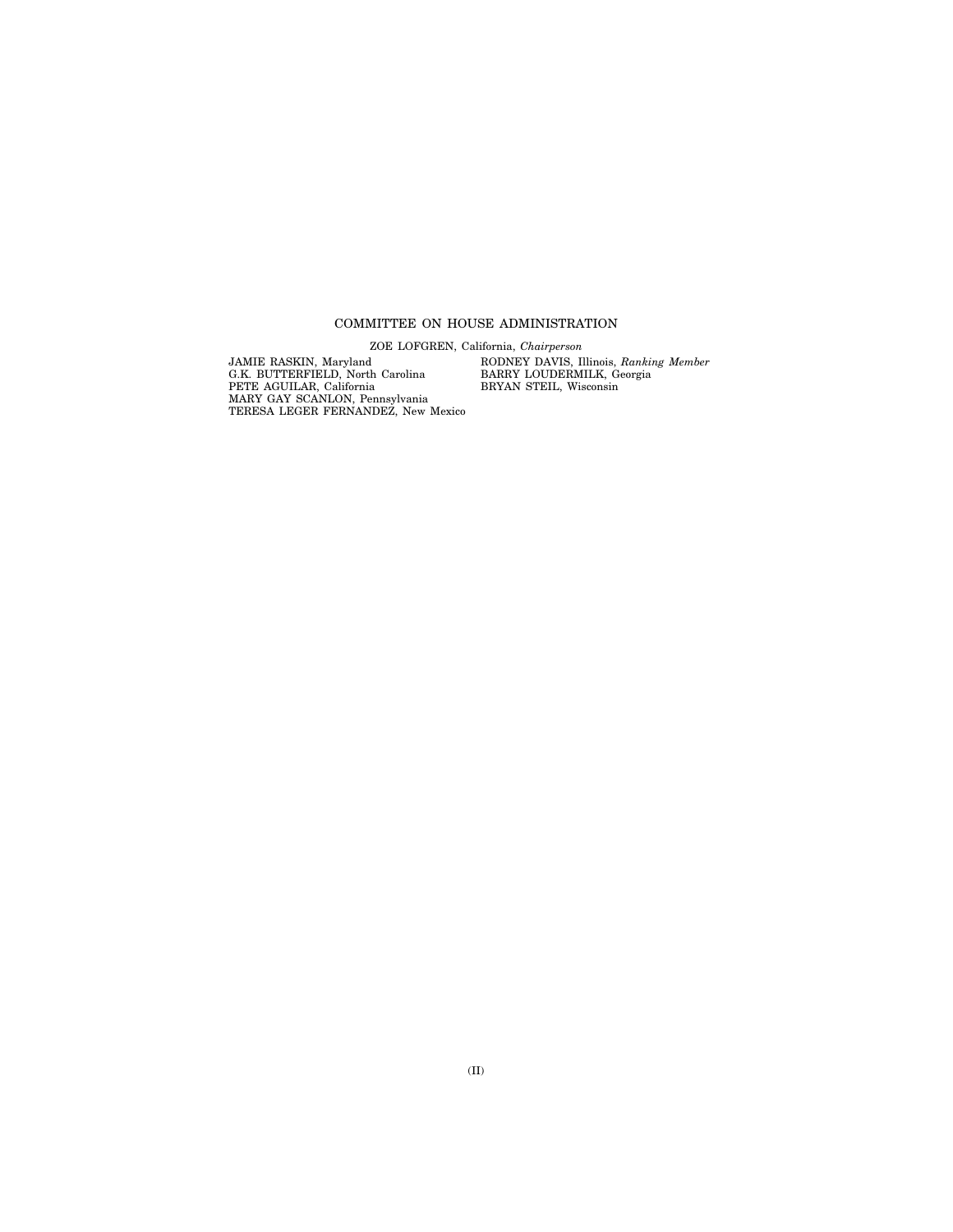### COMMITTEE ON HOUSE ADMINISTRATION

ZOE LOFGREN, California, *Chairperson* 

JAMIE RASKIN, Maryland G.K. BUTTERFIELD, North Carolina PETE AGUILAR, California MARY GAY SCANLON, Pennsylvania TERESA LEGER FERNANDEZ, New Mexico RODNEY DAVIS, Illinois, *Ranking Member*  BARRY LOUDERMILK, Georgia BRYAN STEIL, Wisconsin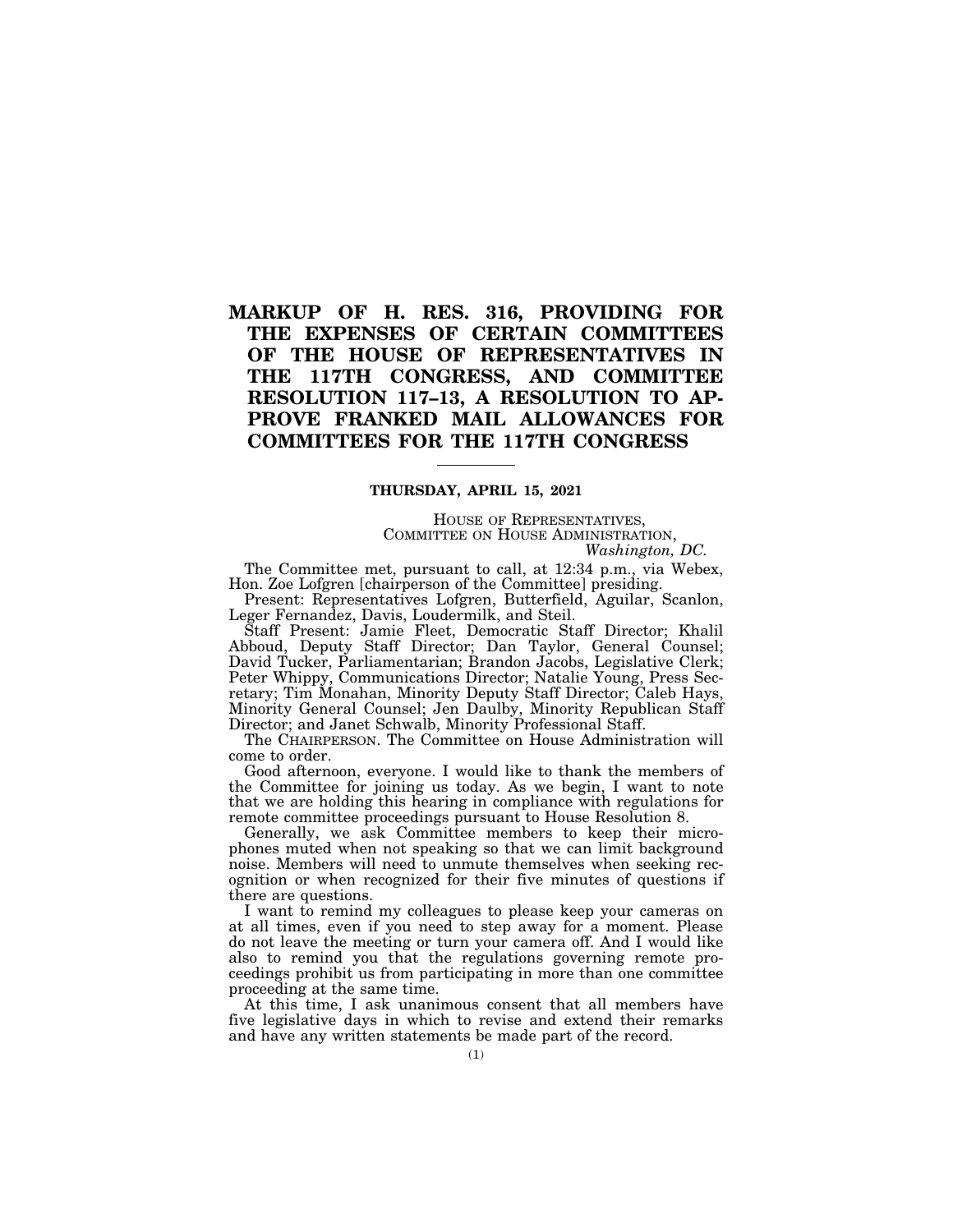## **MARKUP OF H. RES. 316, PROVIDING FOR THE EXPENSES OF CERTAIN COMMITTEES OF THE HOUSE OF REPRESENTATIVES IN THE 117TH CONGRESS, AND COMMITTEE RESOLUTION 117–13, A RESOLUTION TO AP-PROVE FRANKED MAIL ALLOWANCES FOR COMMITTEES FOR THE 117TH CONGRESS**

### **THURSDAY, APRIL 15, 2021**

HOUSE OF REPRESENTATIVES, COMMITTEE ON HOUSE ADMINISTRATION, *Washington, DC.* 

The Committee met, pursuant to call, at 12:34 p.m., via Webex, Hon. Zoe Lofgren [chairperson of the Committee] presiding.

Present: Representatives Lofgren, Butterfield, Aguilar, Scanlon, Leger Fernandez, Davis, Loudermilk, and Steil.

Staff Present: Jamie Fleet, Democratic Staff Director; Khalil Abboud, Deputy Staff Director; Dan Taylor, General Counsel; David Tucker, Parliamentarian; Brandon Jacobs, Legislative Clerk; Peter Whippy, Communications Director; Natalie Young, Press Secretary; Tim Monahan, Minority Deputy Staff Director; Caleb Hays, Minority General Counsel; Jen Daulby, Minority Republican Staff Director; and Janet Schwalb, Minority Professional Staff.

The CHAIRPERSON. The Committee on House Administration will come to order.

Good afternoon, everyone. I would like to thank the members of the Committee for joining us today. As we begin, I want to note that we are holding this hearing in compliance with regulations for remote committee proceedings pursuant to House Resolution 8.

Generally, we ask Committee members to keep their microphones muted when not speaking so that we can limit background noise. Members will need to unmute themselves when seeking recognition or when recognized for their five minutes of questions if there are questions.

I want to remind my colleagues to please keep your cameras on at all times, even if you need to step away for a moment. Please do not leave the meeting or turn your camera off. And I would like also to remind you that the regulations governing remote proceedings prohibit us from participating in more than one committee proceeding at the same time.

At this time, I ask unanimous consent that all members have five legislative days in which to revise and extend their remarks and have any written statements be made part of the record.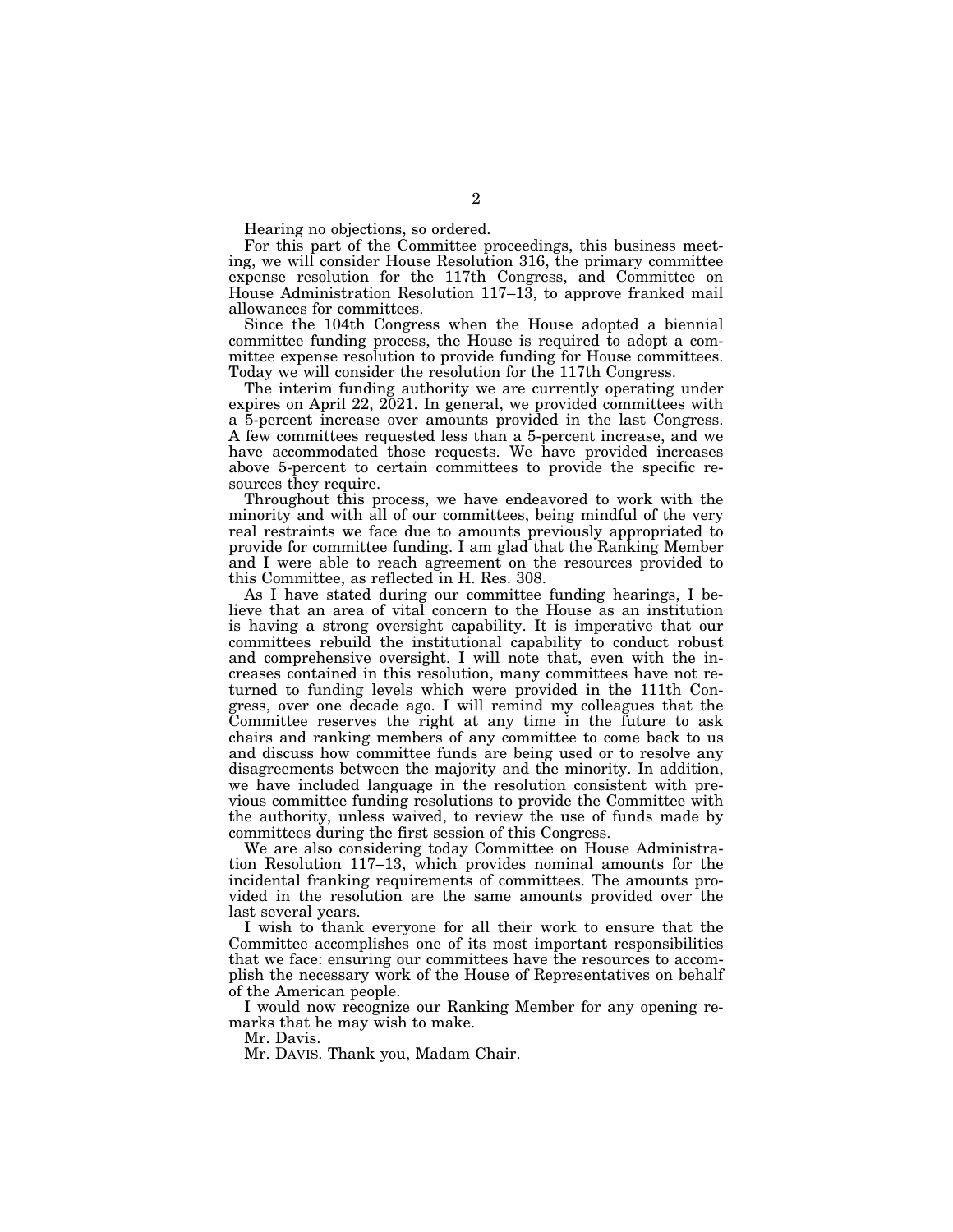Hearing no objections, so ordered.

For this part of the Committee proceedings, this business meeting, we will consider House Resolution 316, the primary committee expense resolution for the 117th Congress, and Committee on House Administration Resolution 117–13, to approve franked mail allowances for committees.

Since the 104th Congress when the House adopted a biennial committee funding process, the House is required to adopt a committee expense resolution to provide funding for House committees. Today we will consider the resolution for the 117th Congress.

The interim funding authority we are currently operating under expires on April 22, 2021. In general, we provided committees with a 5-percent increase over amounts provided in the last Congress. A few committees requested less than a 5-percent increase, and we have accommodated those requests. We have provided increases above 5-percent to certain committees to provide the specific resources they require.

Throughout this process, we have endeavored to work with the minority and with all of our committees, being mindful of the very real restraints we face due to amounts previously appropriated to provide for committee funding. I am glad that the Ranking Member and I were able to reach agreement on the resources provided to this Committee, as reflected in H. Res. 308.

As I have stated during our committee funding hearings, I believe that an area of vital concern to the House as an institution is having a strong oversight capability. It is imperative that our committees rebuild the institutional capability to conduct robust and comprehensive oversight. I will note that, even with the increases contained in this resolution, many committees have not returned to funding levels which were provided in the 111th Congress, over one decade ago. I will remind my colleagues that the Committee reserves the right at any time in the future to ask chairs and ranking members of any committee to come back to us and discuss how committee funds are being used or to resolve any disagreements between the majority and the minority. In addition, we have included language in the resolution consistent with previous committee funding resolutions to provide the Committee with the authority, unless waived, to review the use of funds made by committees during the first session of this Congress.

We are also considering today Committee on House Administration Resolution 117–13, which provides nominal amounts for the incidental franking requirements of committees. The amounts provided in the resolution are the same amounts provided over the last several years.

I wish to thank everyone for all their work to ensure that the Committee accomplishes one of its most important responsibilities that we face: ensuring our committees have the resources to accomplish the necessary work of the House of Representatives on behalf of the American people.

I would now recognize our Ranking Member for any opening remarks that he may wish to make.

Mr. Davis.

Mr. DAVIS. Thank you, Madam Chair.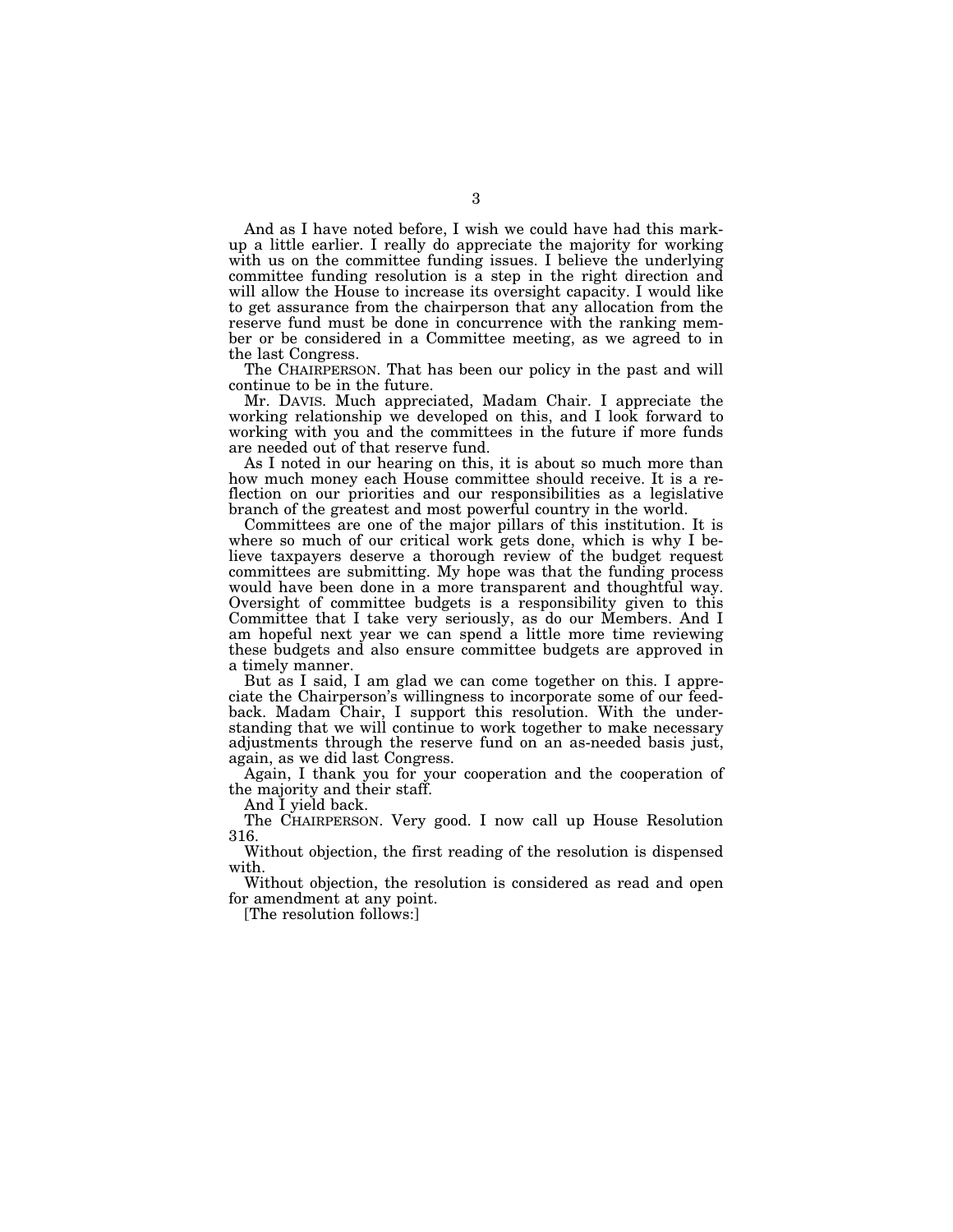And as I have noted before, I wish we could have had this markup a little earlier. I really do appreciate the majority for working with us on the committee funding issues. I believe the underlying committee funding resolution is a step in the right direction and will allow the House to increase its oversight capacity. I would like to get assurance from the chairperson that any allocation from the reserve fund must be done in concurrence with the ranking member or be considered in a Committee meeting, as we agreed to in the last Congress.

The CHAIRPERSON. That has been our policy in the past and will continue to be in the future.

Mr. DAVIS. Much appreciated, Madam Chair. I appreciate the working relationship we developed on this, and I look forward to working with you and the committees in the future if more funds are needed out of that reserve fund.

As I noted in our hearing on this, it is about so much more than how much money each House committee should receive. It is a reflection on our priorities and our responsibilities as a legislative branch of the greatest and most powerful country in the world.

Committees are one of the major pillars of this institution. It is where so much of our critical work gets done, which is why I believe taxpayers deserve a thorough review of the budget request committees are submitting. My hope was that the funding process would have been done in a more transparent and thoughtful way. Oversight of committee budgets is a responsibility given to this Committee that I take very seriously, as do our Members. And I am hopeful next year we can spend a little more time reviewing these budgets and also ensure committee budgets are approved in a timely manner.

But as I said, I am glad we can come together on this. I appreciate the Chairperson's willingness to incorporate some of our feedback. Madam Chair, I support this resolution. With the understanding that we will continue to work together to make necessary adjustments through the reserve fund on an as-needed basis just, again, as we did last Congress.

Again, I thank you for your cooperation and the cooperation of the majority and their staff.

And I yield back.

The CHAIRPERSON. Very good. I now call up House Resolution 316.

Without objection, the first reading of the resolution is dispensed with.

Without objection, the resolution is considered as read and open for amendment at any point.

[The resolution follows:]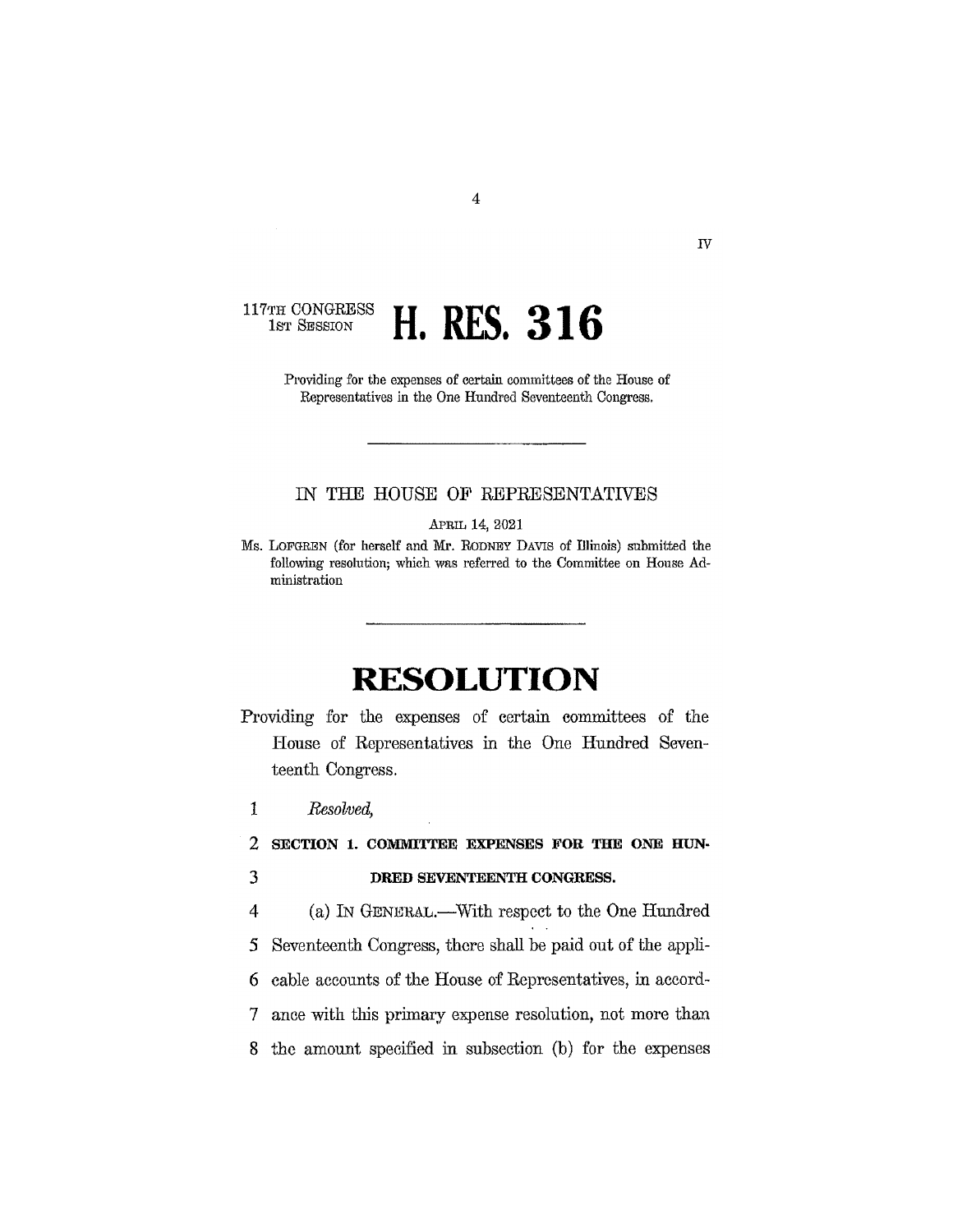#### $117 \ensuremath{\mathrm{TH}}$  CONGRESS **H. RES. 316** 1st SESSION

Providing for the expenses of certain committees of the House of Representatives in the One Hundred Seventeenth Congress.

 $\overline{4}$ 

### IN THE HOUSE OF REPRESENTATIVES

APRIL 14, 2021

Ms. LOFGREN (for herself and Mr. RODNEY DAVIS of Illinois) submitted the following resolution; which was referred to the Committee on House Administration

# **RESOLUTION**

- Providing for the expenses of certain committees of the House of Representatives in the One Hundred Seventeenth Congress.
- $\mathbf{1}$ Resolved,

 $\overline{2}$ SECTION 1. COMMITTEE EXPENSES FOR THE ONE HUN-

3

DRED SEVENTEENTH CONGRESS.

 $\overline{4}$ (a) IN GENERAL.—With respect to the One Hundred

Seventeenth Congress, there shall be paid out of the appli-5

cable accounts of the House of Representatives, in accord-6

 $\tau$ ance with this primary expense resolution, not more than

the amount specified in subsection (b) for the expenses 8

 $\overline{N}$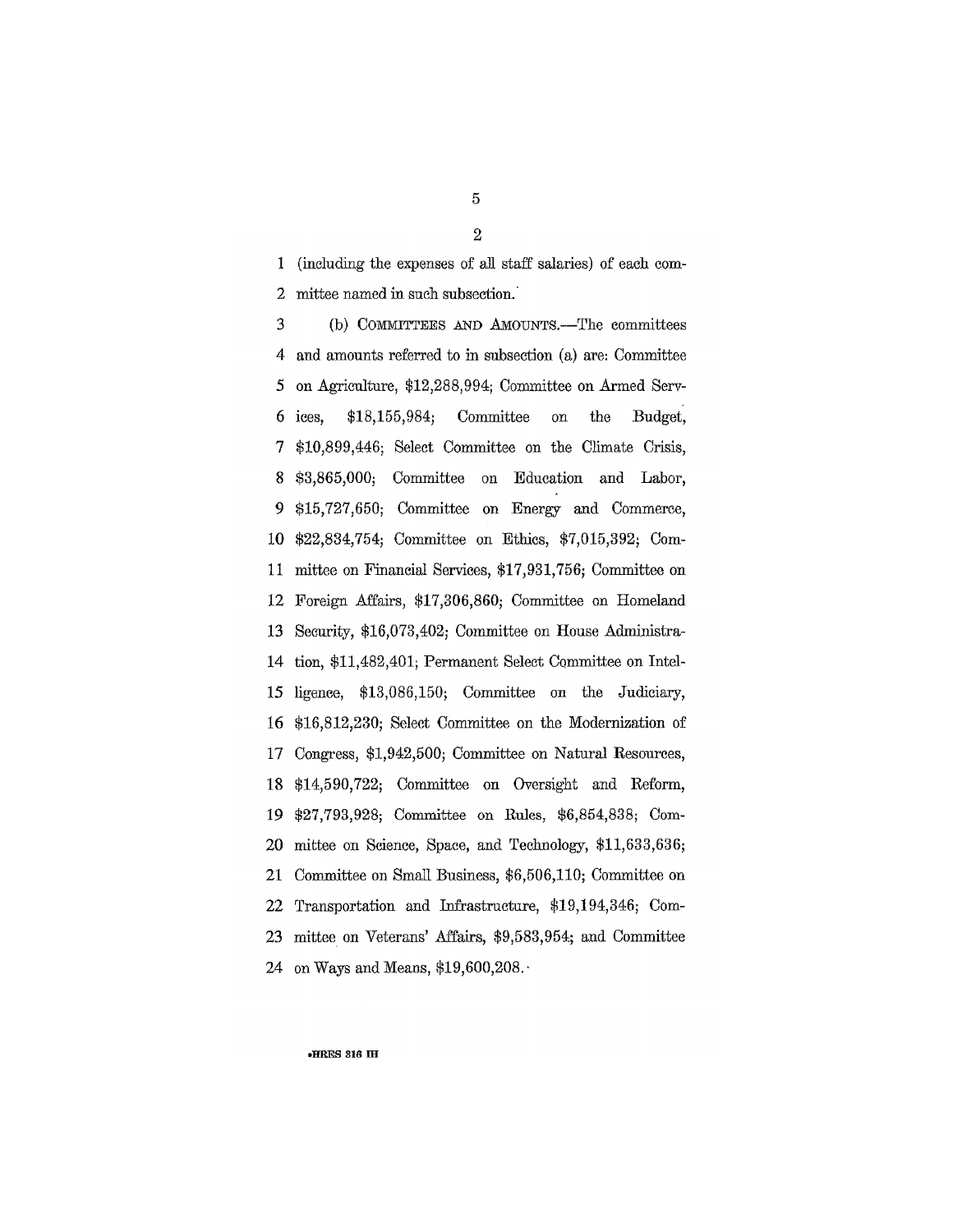1 (including the expenses of all staff salaries) of each com-2 mittee named in such subsection.

3 (b) COMMITTEES AND AMOUNTS.—The committees and amounts referred to in subsection (a) are: Committee  $\overline{4}$ 5 on Agriculture, \$12,288,994; Committee on Armed Serv- $$18,155,984;$ Committee Budget, 6 ices. on the \$10,899,446; Select Committee on the Climate Crisis, 7 \$3,865,000; Committee on Education and Labor, 8 9 \$15,727,650; Committee on Energy and Commerce, \$22,834,754; Committee on Ethics, \$7,015,392; Com-10 mittee on Financial Services, \$17,931,756; Committee on 11 12 Foreign Affairs, \$17,306,860; Committee on Homeland Security, \$16,073,402; Committee on House Administra-13 tion, \$11,482,401; Permanent Select Committee on Intel-14 ligence, \$13,086,150; Committee on the Judiciary, 15 16 \$16,812,230; Select Committee on the Modernization of 17 Congress, \$1,942,500; Committee on Natural Resources, \$14,590,722; Committee on Oversight and Reform, 18 \$27,793,928; Committee on Rules, \$6,854,838; Com-19 mittee on Science, Space, and Technology, \$11,633,636; 20 21 Committee on Small Business, \$6,506,110; Committee on 22 Transportation and Infrastructure, \$19,194,346; Committee on Veterans' Affairs, \$9,583,954; and Committee 23 24 on Ways and Means, \$19,600,208.

HRES 316 IH

5  $\overline{2}$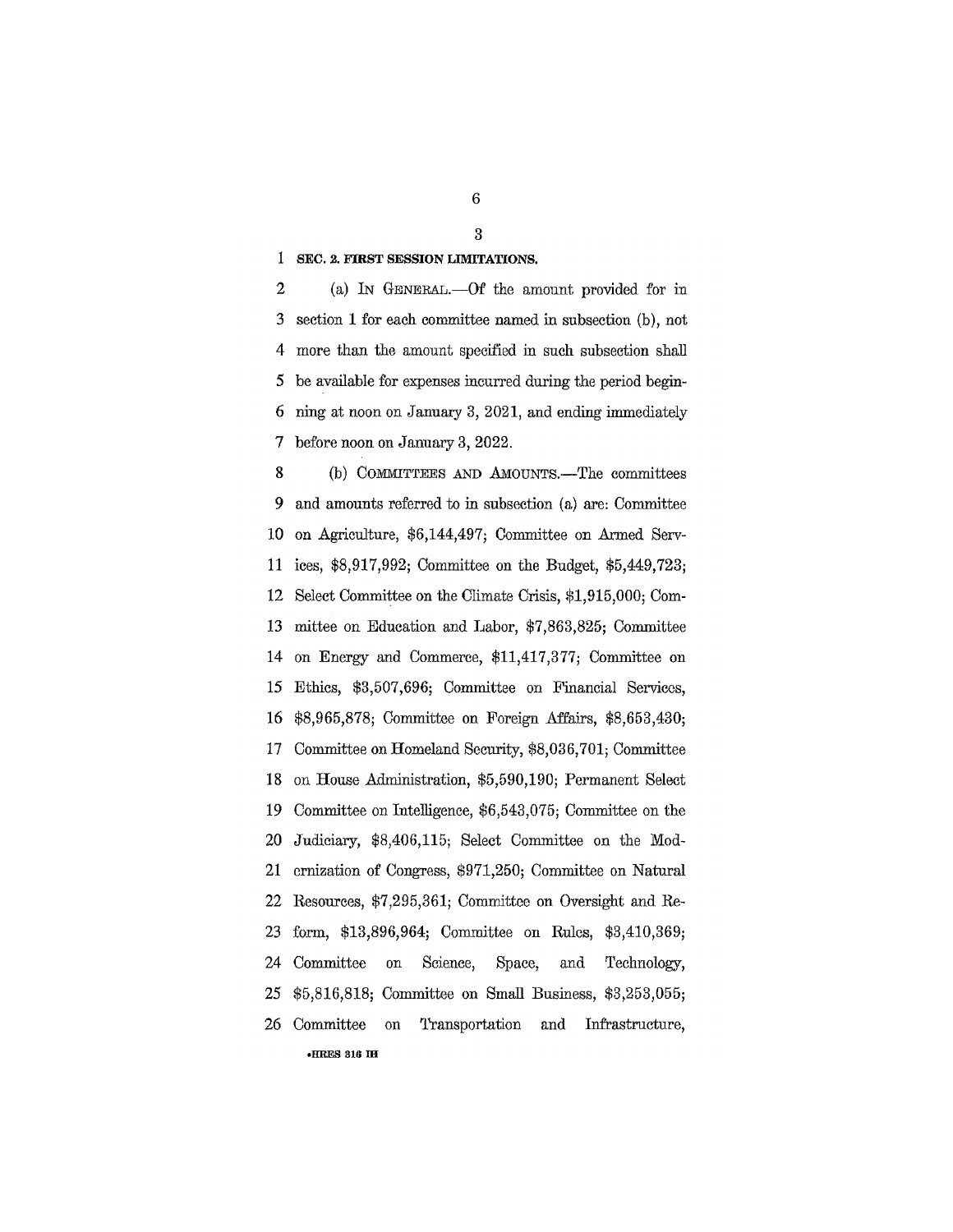1 SEC. 2. FIRST SESSION LIMITATIONS.

 $\overline{2}$ (a) In GENERAL.—Of the amount provided for in 3 section 1 for each committee named in subsection (b), not 4 more than the amount specified in such subsection shall be available for expenses incurred during the period begin-5 6 ning at noon on January 3, 2021, and ending immediately  $\overline{7}$ before noon on January 3, 2022.

8 (b) COMMITTEES AND AMOUNTS.—The committees 9 and amounts referred to in subsection (a) are: Committee on Agriculture, \$6,144,497; Committee on Armed Serv-10 ices, \$8,917,992; Committee on the Budget, \$5,449,723; 11 Select Committee on the Climate Crisis, \$1,915,000; Com-12 mittee on Education and Labor, \$7,863,825; Committee 13 14 on Energy and Commerce, \$11,417,377; Committee on Ethics, \$3,507,696; Committee on Financial Services, 15 \$8,965,878; Committee on Foreign Affairs, \$8,653,430; 16 Committee on Homeland Security, \$8,036,701; Committee 17 on House Administration, \$5,590,190; Permanent Select 18 19 Committee on Intelligence, \$6,543,075; Committee on the 20 Judiciary, \$8,406,115; Select Committee on the Mod-21 ernization of Congress, \$971,250; Committee on Natural 22 Resources, \$7,295,361; Committee on Oversight and Re-23 form, \$13,896,964; Committee on Rules, \$3,410,369; 24 Committee Science, Space, Technology,  $_{\text{on}}$ and \$5,816,818; Committee on Small Business, \$3,253,055; 25 26 Committee on **Transportation** and Infrastructure, **\*HRES 316 IH** 

 $\boldsymbol{6}$ 

3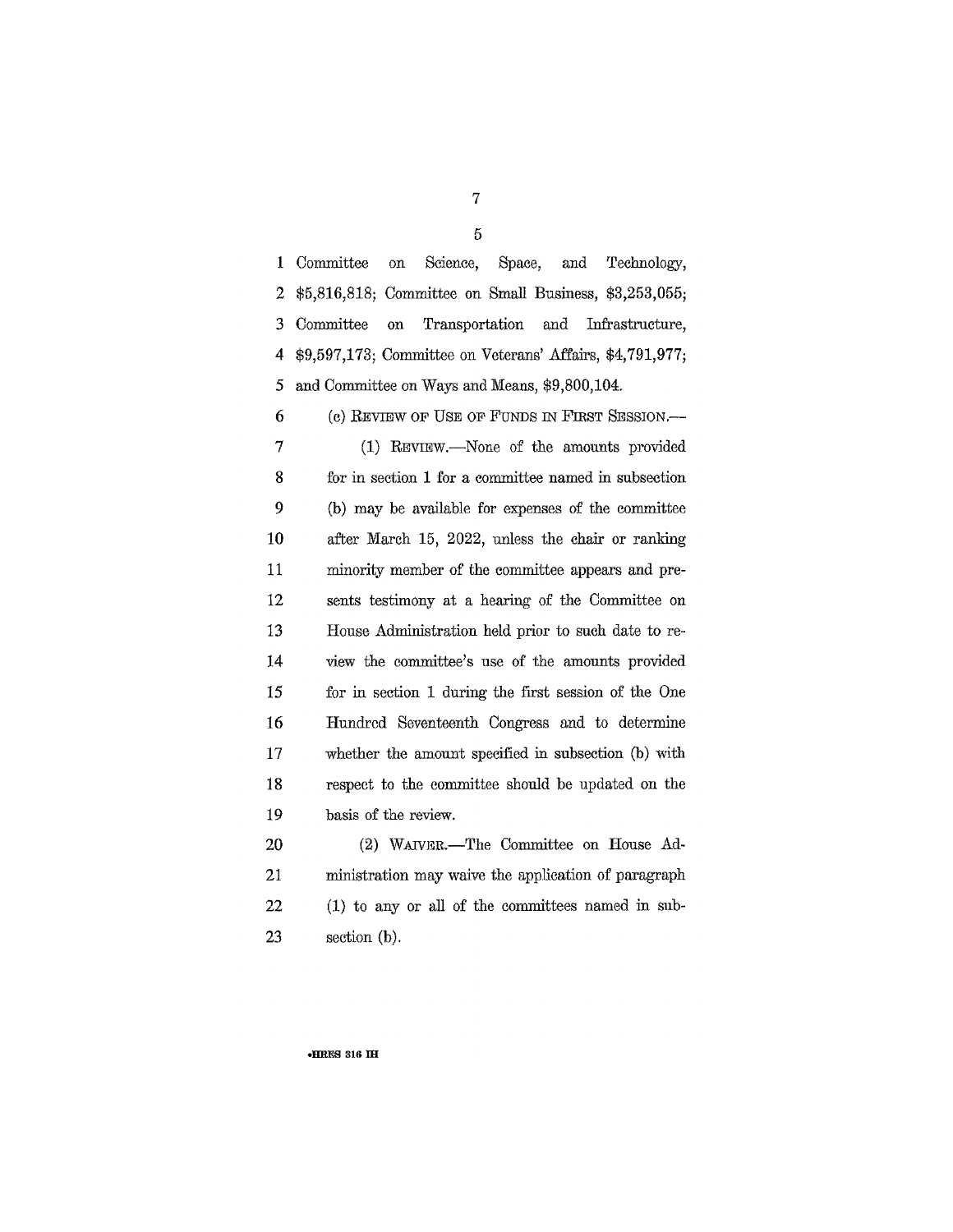1 Committee on Science, Space. and Technology,  $\overline{2}$ \$5,816,818; Committee on Small Business, \$3,253,055;  $\noindent \textbf{ Committee}$ 3 on Transportation and Infrastructure, \$9,597,173; Committee on Veterans' Affairs, \$4,791,977;  $\overline{4}$ and Committee on Ways and Means, \$9,800,104. 5 6 (c) REVIEW OF USE OF FUNDS IN FIRST SESSION.  $\overline{7}$ (1) REVIEW.—None of the amounts provided 8 for in section 1 for a committee named in subsection 9 (b) may be available for expenses of the committee 10 after March 15, 2022, unless the chair or ranking 11 minority member of the committee appears and pre-12 sents testimony at a hearing of the Committee on 13 House Administration held prior to such date to re-14 view the committee's use of the amounts provided 15 for in section 1 during the first session of the One 16 Hundred Seventeenth Congress and to determine 17 whether the amount specified in subsection (b) with 18 respect to the committee should be updated on the 19 basis of the review. 20 (2) WAIVER.-The Committee on House Ad-

21 ministration may waive the application of paragraph 22  $(1)$  to any or all of the committees named in sub-23 section  $(b)$ .

·HRES 316 IH

7  $\overline{5}$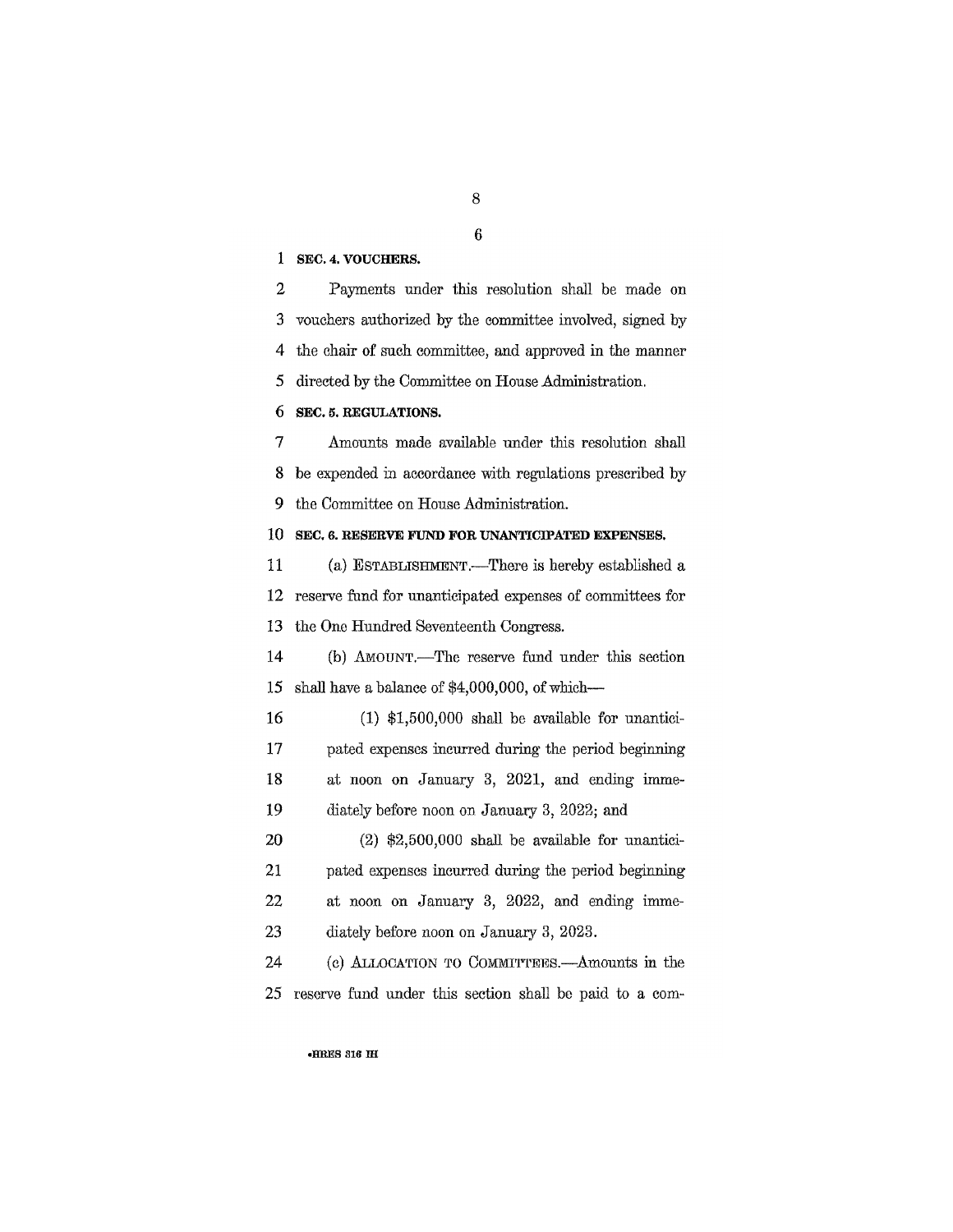1 SEC. 4. VOUCHERS.

 $\overline{2}$ Payments under this resolution shall be made on  $\overline{3}$ vouchers authorized by the committee involved, signed by  $\overline{4}$ the chair of such committee, and approved in the manner 5 directed by the Committee on House Administration. 6 SEC. 5. REGULATIONS.  $\overline{7}$ Amounts made available under this resolution shall 8 be expended in accordance with regulations prescribed by 9 the Committee on House Administration. 10 SEC. 6. RESERVE FUND FOR UNANTICIPATED EXPENSES. 11 (a) ESTABLISHMENT.-There is hereby established a 12 reserve fund for unanticipated expenses of committees for the One Hundred Seventeenth Congress. 13 14 (b) AMOUNT.—The reserve fund under this section 15 shall have a balance of \$4,000,000, of which-16  $(1)$  \$1,500,000 shall be available for unantici-17 pated expenses incurred during the period beginning at noon on January 3, 2021, and ending imme-18 19 diately before noon on January 3, 2022; and 20  $(2)$  \$2,500,000 shall be available for unantici-21 pated expenses incurred during the period beginning 22 at noon on January 3, 2022, and ending imme-23 diately before noon on January 3, 2023. 24 (c) ALLOCATION TO COMMITTEES. Amounts in the 25 reserve fund under this section shall be paid to a com-

**•HRES 316 IH** 

 $\,8\,$ 

6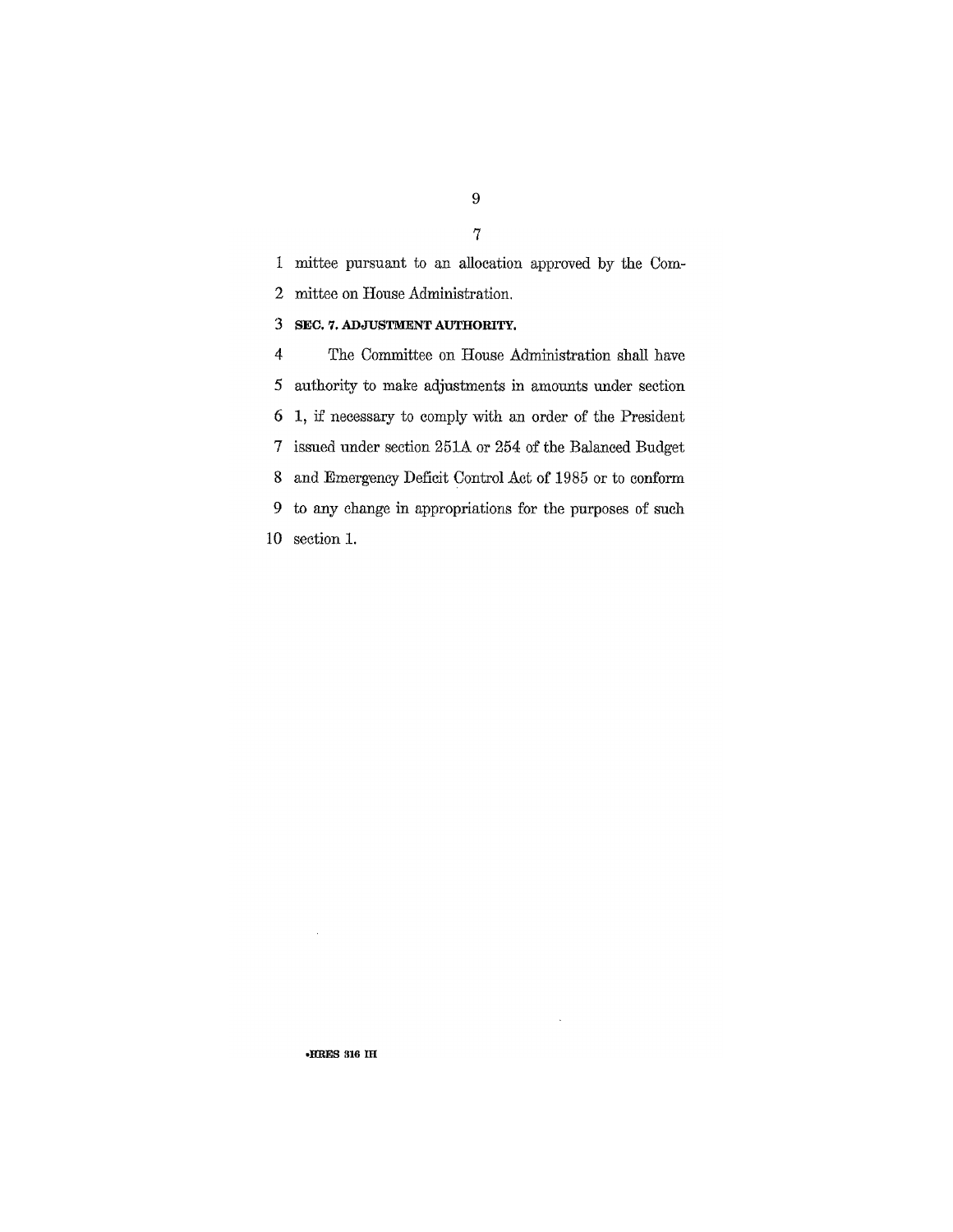1 mittee pursuant to an allocation approved by the Com- $\overline{2}$ mittee on House Administration. 3 SEC. 7. ADJUSTMENT AUTHORITY. The Committee on House Administration shall have  $\overline{4}$  $\mathfrak{I}$ authority to make adjustments in amounts under section 1, if necessary to comply with an order of the President  $\boldsymbol{6}$ issued under section 251A or 254 of the Balanced Budget  $\boldsymbol{7}$  $8\,$ and Emergency Deficit Control Act of 1985 or to conform to any change in appropriations for the purposes of such 9  $10$  section 1.

k,

-HRES 316 IH

 $\bar{\beta}$ 

9  $\overline{7}$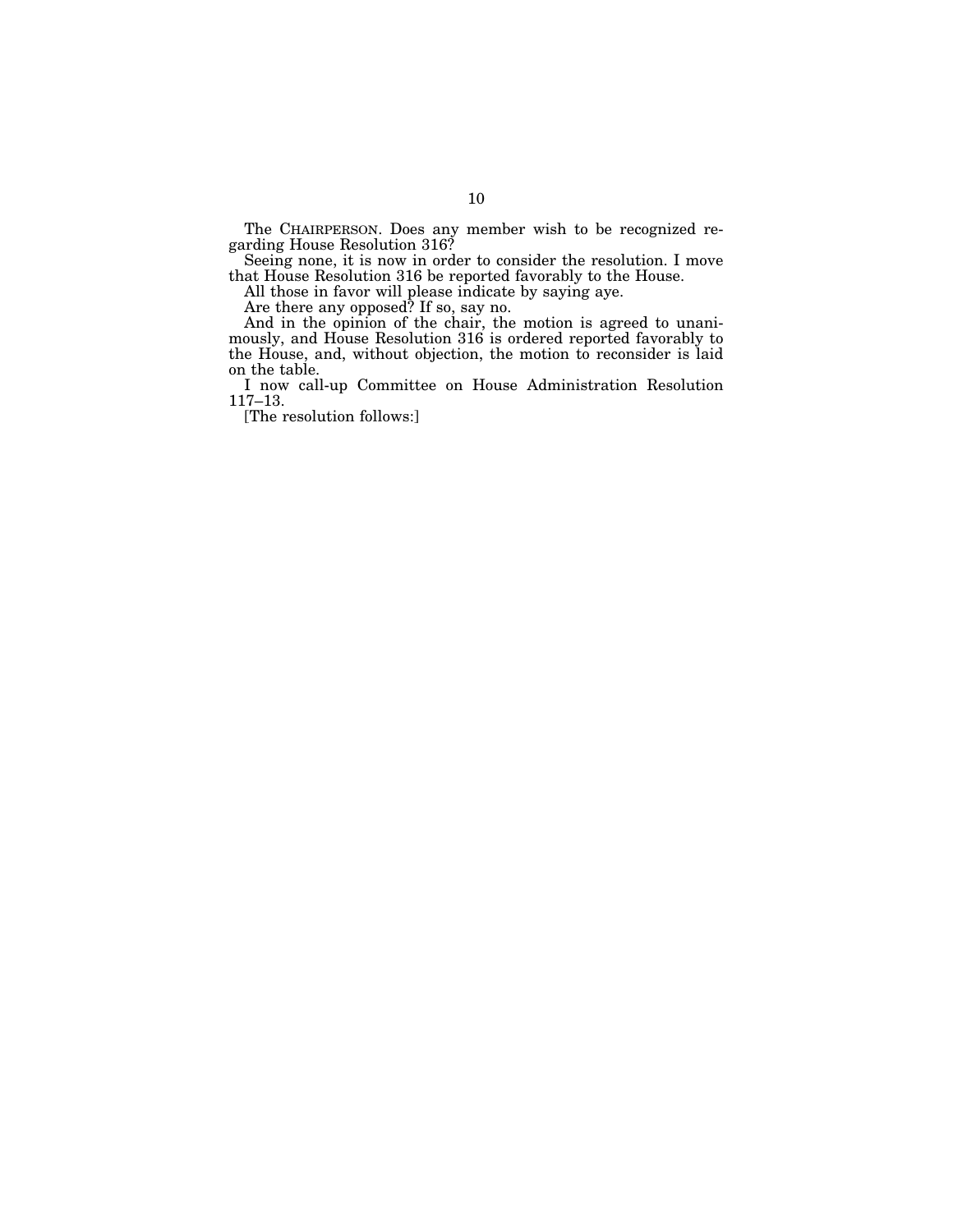The CHAIRPERSON. Does any member wish to be recognized regarding House Resolution 316?

Seeing none, it is now in order to consider the resolution. I move that House Resolution 316 be reported favorably to the House.

All those in favor will please indicate by saying aye.

Are there any opposed? If so, say no.

And in the opinion of the chair, the motion is agreed to unanimously, and House Resolution 316 is ordered reported favorably to the House, and, without objection, the motion to reconsider is laid on the table.

I now call-up Committee on House Administration Resolution 117–13.

[The resolution follows:]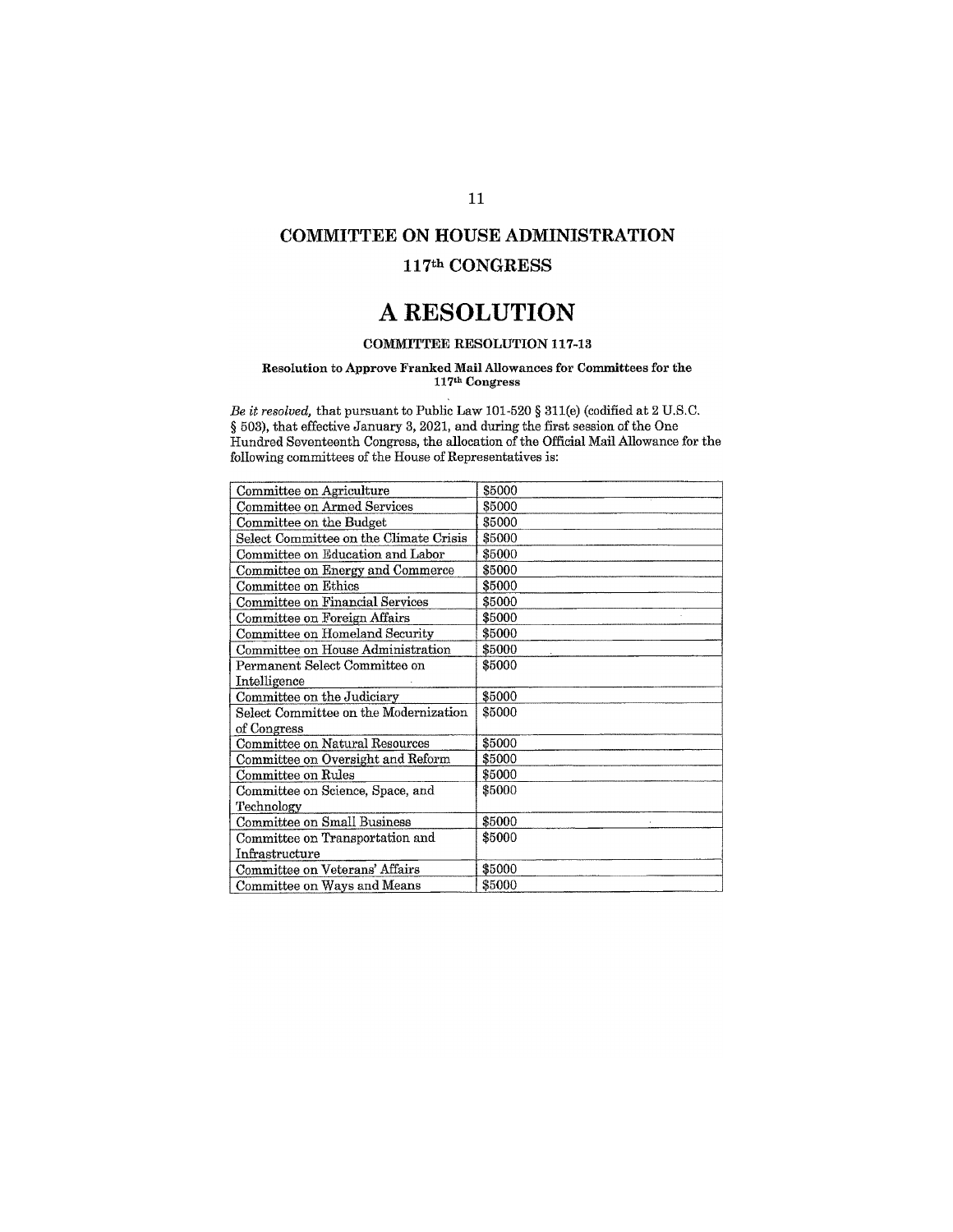### **COMMITTEE ON HOUSE ADMINISTRATION**

### 117th CONGRESS

## A RESOLUTION

### **COMMITTEE RESOLUTION 117-13**

### Resolution to Approve Franked Mail Allowances for Committees for the 117th Congress

Be it resolved, that pursuant to Public Law 101-520 § 311(e) (codified at 2 U.S.C. § 503), that effective January 3, 2021, and during the first session of the One Hundred Seventeenth Congress, the allocation of the Official Mail Allowance for the following committees of the House of Representatives is:

| Committee on Agriculture               | \$5000 |
|----------------------------------------|--------|
| Committee on Armed Services            | \$5000 |
| Committee on the Budget                | \$5000 |
| Select Committee on the Climate Crisis | \$5000 |
| Committee on Education and Labor       | \$5000 |
| Committee on Energy and Commerce       | \$5000 |
| Committee on Ethics                    | \$5000 |
| Committee on Financial Services        | \$5000 |
| Committee on Foreign Affairs           | \$5000 |
| Committee on Homeland Security         | \$5000 |
| Committee on House Administration      | \$5000 |
| Permanent Select Committee on          | \$5000 |
| Intelligence                           |        |
| Committee on the Judiciary             | \$5000 |
| Select Committee on the Modernization  | \$5000 |
| of Congress                            |        |
| Committee on Natural Resources         | \$5000 |
| Committee on Oversight and Reform      | \$5000 |
| Committee on Rules                     | \$5000 |
| Committee on Science, Space, and       | \$5000 |
| Technology                             |        |
| Committee on Small Business            | \$5000 |
| Committee on Transportation and        | \$5000 |
| Infrastructure                         |        |
| Committee on Veterans' Affairs         | \$5000 |
| Committee on Ways and Means            | \$5000 |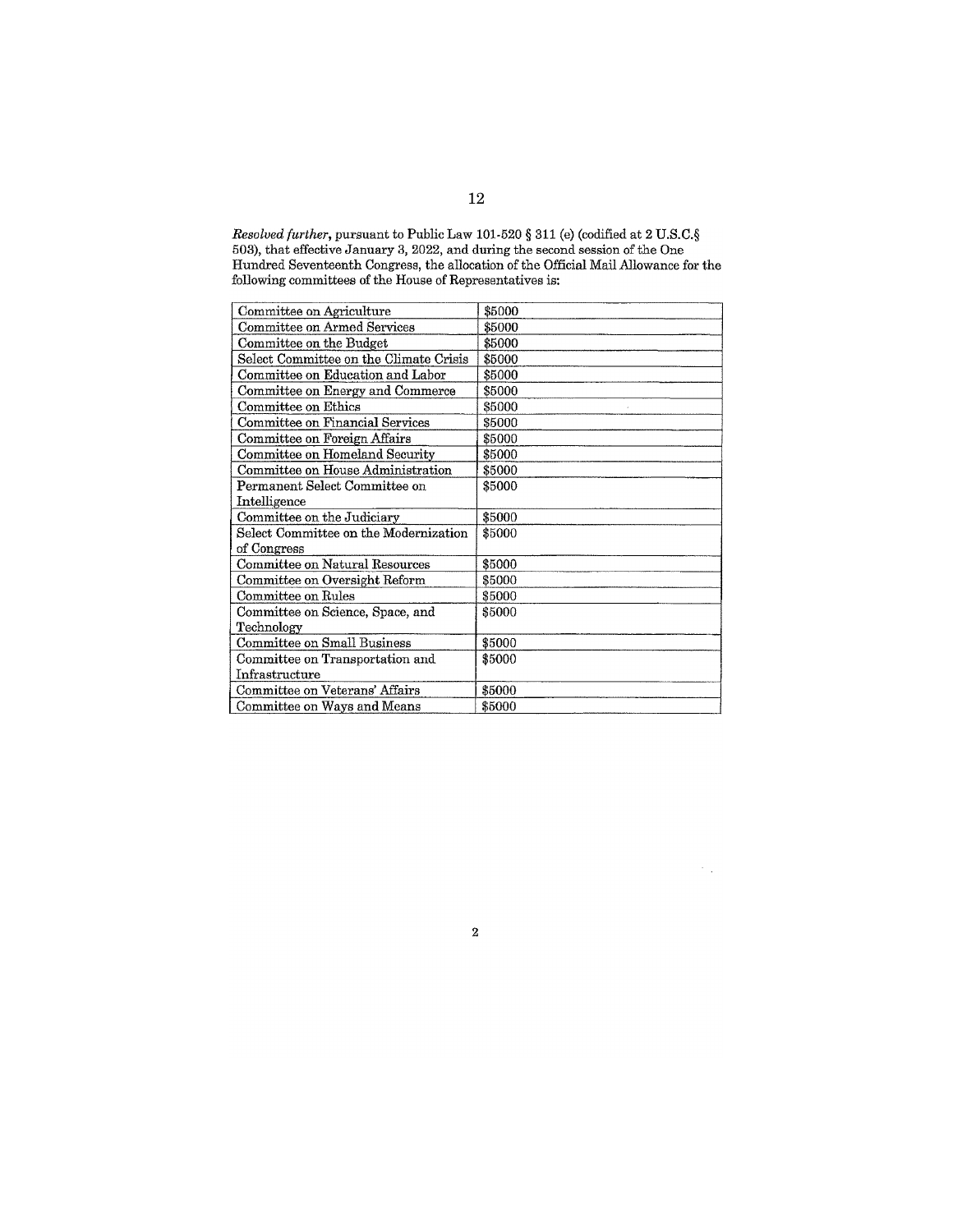Resolved further, pursuant to Public Law 101-520  $\S$  311 (e) (codified at 2 U.S.C. $\S$  503), that effective January 3, 2022, and during the second session of the One Hundred Seventeenth Congress, the allocation of the Offi following committees of the House of Representatives is:

| Committee on Agriculture               | \$5000 |
|----------------------------------------|--------|
| Committee on Armed Services            | \$5000 |
| Committee on the Budget                | \$5000 |
| Select Committee on the Climate Crisis | \$5000 |
| Committee on Education and Labor       | \$5000 |
| Committee on Energy and Commerce       | \$5000 |
| Committee on Ethics                    | \$5000 |
| Committee on Financial Services        | \$5000 |
| Committee on Foreign Affairs           | \$5000 |
| Committee on Homeland Security         | \$5000 |
| Committee on House Administration      | \$5000 |
| Permanent Select Committee on          | \$5000 |
| Intelligence                           |        |
| Committee on the Judiciary             | \$5000 |
| Select Committee on the Modernization  | \$5000 |
| of Congress                            |        |
| Committee on Natural Resources         | \$5000 |
| Committee on Oversight Reform          | \$5000 |
| Committee on Rules                     | \$5000 |
| Committee on Science, Space, and       | \$5000 |
| Technology                             |        |
| Committee on Small Business            | \$5000 |
| Committee on Transportation and        | \$5000 |
| Infrastructure                         |        |
| Committee on Veterans' Affairs         | \$5000 |
| Committee on Ways and Means            | \$5000 |

 $\bf 2$ 

 $\sigma_{\rm{eff}}$